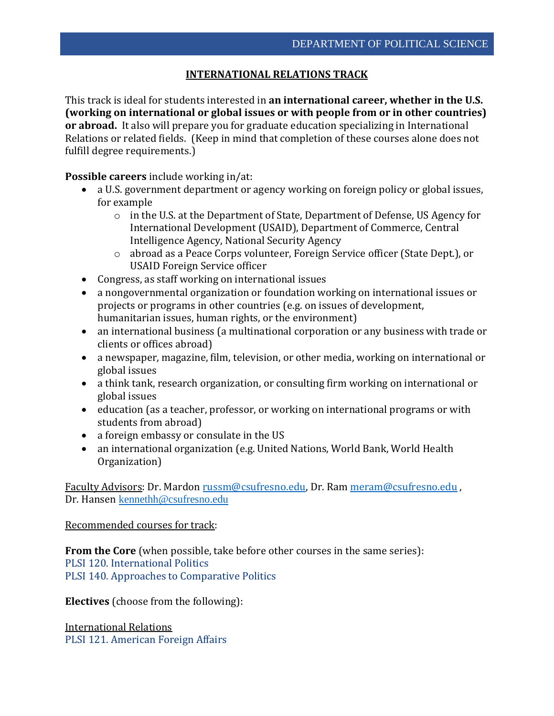## **INTERNATIONAL RELATIONS TRACK**

This track is ideal for students interested in **an international career, whether in the U.S. (working on international or global issues or with people from or in other countries) or abroad.** It also will prepare you for graduate education specializing in International Relations or related fields. (Keep in mind that completion of these courses alone does not fulfill degree requirements.)

**Possible careers** include working in/at:

- a U.S. government department or agency working on foreign policy or global issues, for example
	- o in the U.S. at the Department of State, Department of Defense, US Agency for International Development (USAID), Department of Commerce, Central Intelligence Agency, National Security Agency
	- o abroad as a Peace Corps volunteer, Foreign Service officer (State Dept.), or USAID Foreign Service officer
- Congress, as staff working on international issues
- a nongovernmental organization or foundation working on international issues or projects or programs in other countries (e.g. on issues of development, humanitarian issues, human rights, or the environment)
- an international business (a multinational corporation or any business with trade or clients or offices abroad)
- a newspaper, magazine, film, television, or other media, working on international or global issues
- a think tank, research organization, or consulting firm working on international or global issues
- education (as a teacher, professor, or working on international programs or with students from abroad)
- a foreign embassy or consulate in the US
- an international organization (e.g. United Nations, World Bank, World Health Organization)

Faculty Advisors: Dr. Mardon [russm@csufresno.edu,](mailto:russm@csufresno.edu) Dr. Ram [meram@csufresno.edu](mailto:meram@csufresno.edu) , Dr. Hansen [kennethh@csufresno.edu](mailto:kennethh@csufresno.edu)

## Recommended courses for track:

**From the Core** (when possible, take before other courses in the same series): PLSI 120. International Politics PLSI 140. Approaches to Comparative Politics

**Electives** (choose from the following):

International Relations PLSI 121. American Foreign Affairs